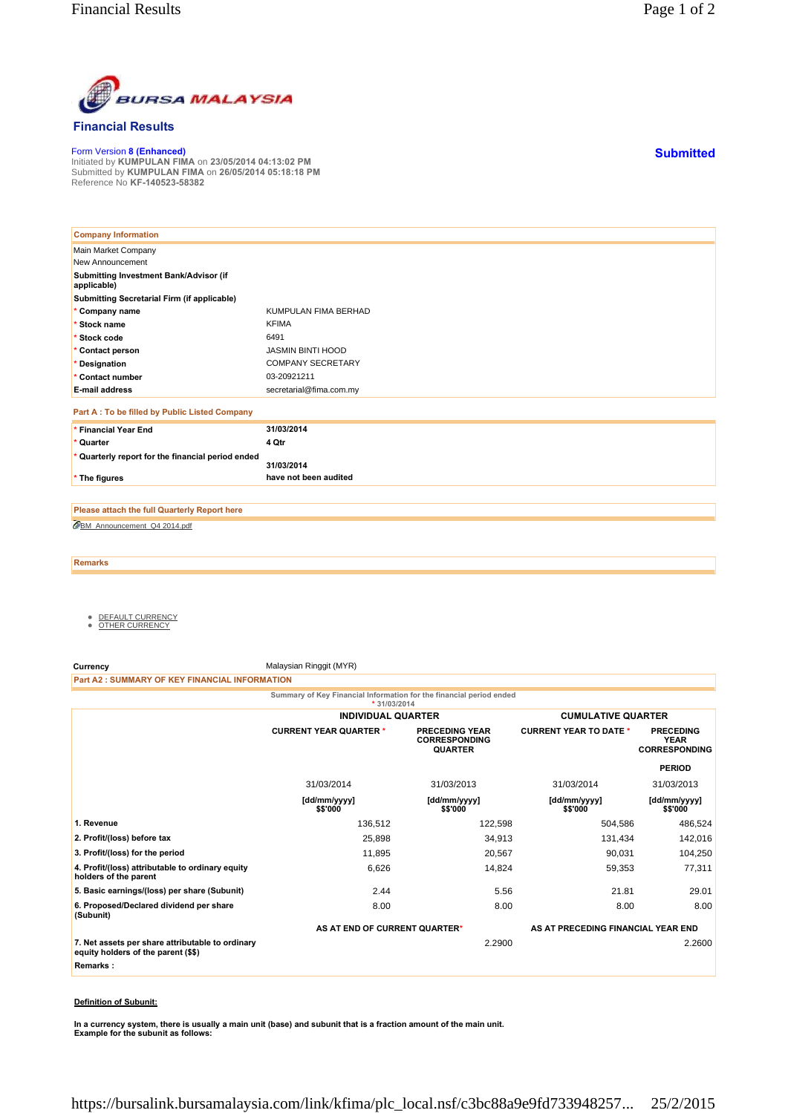

## **Financial Results**

Form Version **8 (Enhanced)** Initiated by **KUMPULAN FIMA** on **23/05/2014 04:13:02 PM** Submitted by **KUMPULAN FIMA** on **26/05/2014 05:18:18 PM** Reference No **KF-140523-58382**

| <b>Company Information</b>                            |                          |
|-------------------------------------------------------|--------------------------|
| Main Market Company                                   |                          |
| New Announcement                                      |                          |
| Submitting Investment Bank/Advisor (if<br>applicable) |                          |
| <b>Submitting Secretarial Firm (if applicable)</b>    |                          |
| * Company name                                        | KUMPULAN FIMA BERHAD     |
| * Stock name                                          | <b>KFIMA</b>             |
| * Stock code                                          | 6491                     |
| * Contact person                                      | <b>JASMIN BINTI HOOD</b> |
| * Designation                                         | <b>COMPANY SECRETARY</b> |
| * Contact number                                      | 03-20921211              |
| <b>E-mail address</b>                                 | secretarial@fima.com.my  |
| Part A : To be filled by Public Listed Company        |                          |
| * Financial Year End                                  | 31/03/2014               |
| * Quarter                                             | 4 Qtr                    |
| * Quarterly report for the financial period ended     | 31/03/2014               |
| * The figures                                         | have not been audited    |

BM\_Announcement\_Q4 2014.pdf **Please attach the full Quarterly Report here**

**Remarks**

- <u>DEFAULT CURRENCY</u><br>● <u>OTHER CURRENCY</u>
- 

**Currency** Malaysian Ringgit (MYR)

**Part A2 : SUMMARY OF KEY FINANCIAL INFORMATION**

**Summary of Key Financial Information for the financial period ended**

|                                                                                         | $*31/03/2014$                 |                                                                 |                                    |                                                         |
|-----------------------------------------------------------------------------------------|-------------------------------|-----------------------------------------------------------------|------------------------------------|---------------------------------------------------------|
|                                                                                         | <b>INDIVIDUAL QUARTER</b>     |                                                                 | <b>CUMULATIVE QUARTER</b>          |                                                         |
|                                                                                         | <b>CURRENT YEAR QUARTER *</b> | <b>PRECEDING YEAR</b><br><b>CORRESPONDING</b><br><b>QUARTER</b> | <b>CURRENT YEAR TO DATE *</b>      | <b>PRECEDING</b><br><b>YEAR</b><br><b>CORRESPONDING</b> |
|                                                                                         |                               |                                                                 |                                    | <b>PERIOD</b>                                           |
|                                                                                         | 31/03/2014                    | 31/03/2013                                                      | 31/03/2014                         | 31/03/2013                                              |
|                                                                                         | [dd/mm/yyyy]<br>\$\$'000      | [dd/mm/yyyy]<br>\$\$'000                                        | [dd/mm/yyyy]<br>\$\$'000           | [dd/mm/yyyy]<br>\$\$'000                                |
| 1. Revenue                                                                              | 136,512                       | 122,598                                                         | 504,586                            | 486,524                                                 |
| 2. Profit/(loss) before tax                                                             | 25,898                        | 34,913                                                          | 131,434                            | 142,016                                                 |
| 3. Profit/(loss) for the period                                                         | 11,895                        | 20,567                                                          | 90,031                             | 104,250                                                 |
| 4. Profit/(loss) attributable to ordinary equity<br>holders of the parent               | 6,626                         | 14,824                                                          | 59,353                             | 77,311                                                  |
| 5. Basic earnings/(loss) per share (Subunit)                                            | 2.44                          | 5.56                                                            | 21.81                              | 29.01                                                   |
| 6. Proposed/Declared dividend per share<br>(Subunit)                                    | 8.00                          | 8.00                                                            | 8.00                               | 8.00                                                    |
|                                                                                         | AS AT END OF CURRENT QUARTER* |                                                                 | AS AT PRECEDING FINANCIAL YEAR END |                                                         |
| 7. Net assets per share attributable to ordinary<br>equity holders of the parent (\$\$) |                               | 2.2900                                                          |                                    | 2.2600                                                  |
| Remarks:                                                                                |                               |                                                                 |                                    |                                                         |
|                                                                                         |                               |                                                                 |                                    |                                                         |

## **Definition of Subunit:**

**In a currency system, there is usually a main unit (base) and subunit that is a fraction amount of the main unit. Example for the subunit as follows:**

**Submitted**